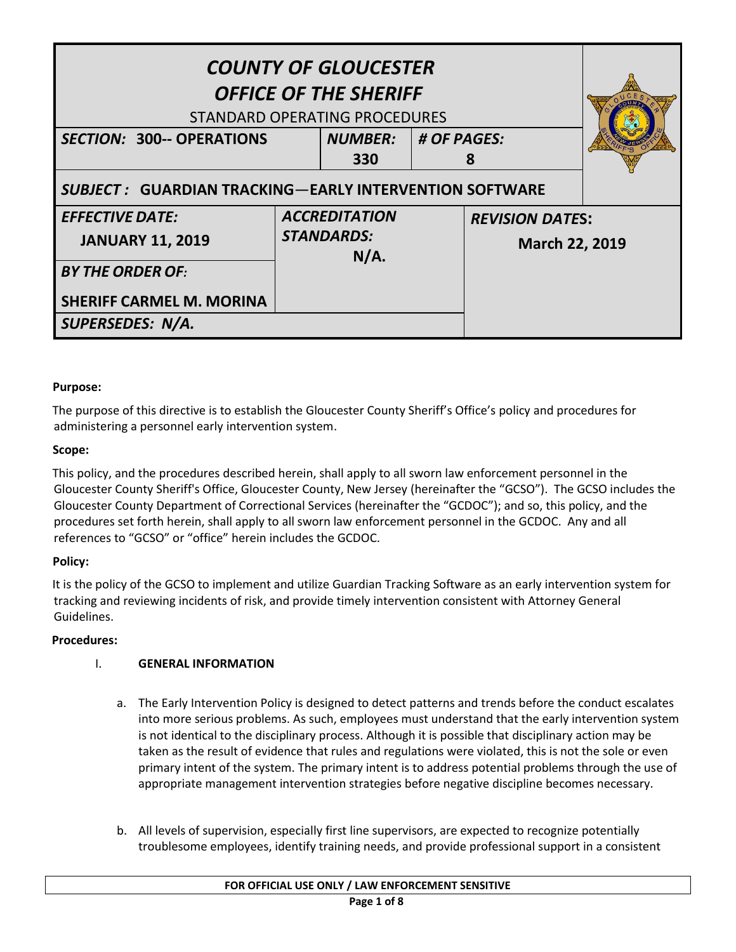| <b>COUNTY OF GLOUCESTER</b><br><b>OFFICE OF THE SHERIFF</b><br>STANDARD OPERATING PROCEDURES |                                                   |                |                         |                                          |  |
|----------------------------------------------------------------------------------------------|---------------------------------------------------|----------------|-------------------------|------------------------------------------|--|
| <b>SECTION: 300-- OPERATIONS</b>                                                             |                                                   | <b>NUMBER:</b> | $\parallel$ # OF PAGES: |                                          |  |
|                                                                                              |                                                   | 330            | 8                       |                                          |  |
| <b>SUBJECT: GUARDIAN TRACKING—EARLY INTERVENTION SOFTWARE</b>                                |                                                   |                |                         |                                          |  |
| <b>EFFECTIVE DATE:</b>                                                                       | <b>ACCREDITATION</b><br><b>STANDARDS:</b><br>N/A. |                |                         | <b>REVISION DATES:</b><br>March 22, 2019 |  |
| <b>JANUARY 11, 2019</b>                                                                      |                                                   |                |                         |                                          |  |
| <b>BY THE ORDER OF:</b>                                                                      |                                                   |                |                         |                                          |  |
| <b>SHERIFF CARMEL M. MORINA</b>                                                              |                                                   |                |                         |                                          |  |
| SUPERSEDES: N/A.                                                                             |                                                   |                |                         |                                          |  |

# **Purpose:**

The purpose of this directive is to establish the Gloucester County Sheriff's Office's policy and procedures for administering a personnel early intervention system.

## **Scope:**

This policy, and the procedures described herein, shall apply to all sworn law enforcement personnel in the Gloucester County Sheriff's Office, Gloucester County, New Jersey (hereinafter the "GCSO"). The GCSO includes the Gloucester County Department of Correctional Services (hereinafter the "GCDOC"); and so, this policy, and the procedures set forth herein, shall apply to all sworn law enforcement personnel in the GCDOC. Any and all references to "GCSO" or "office" herein includes the GCDOC.

## **Policy:**

It is the policy of the GCSO to implement and utilize Guardian Tracking Software as an early intervention system for tracking and reviewing incidents of risk, and provide timely intervention consistent with Attorney General Guidelines.

## **Procedures:**

## I. **GENERAL INFORMATION**

- a. The Early Intervention Policy is designed to detect patterns and trends before the conduct escalates into more serious problems. As such, employees must understand that the early intervention system is not identical to the disciplinary process. Although it is possible that disciplinary action may be taken as the result of evidence that rules and regulations were violated, this is not the sole or even primary intent of the system. The primary intent is to address potential problems through the use of appropriate management intervention strategies before negative discipline becomes necessary.
- b. All levels of supervision, especially first line supervisors, are expected to recognize potentially troublesome employees, identify training needs, and provide professional support in a consistent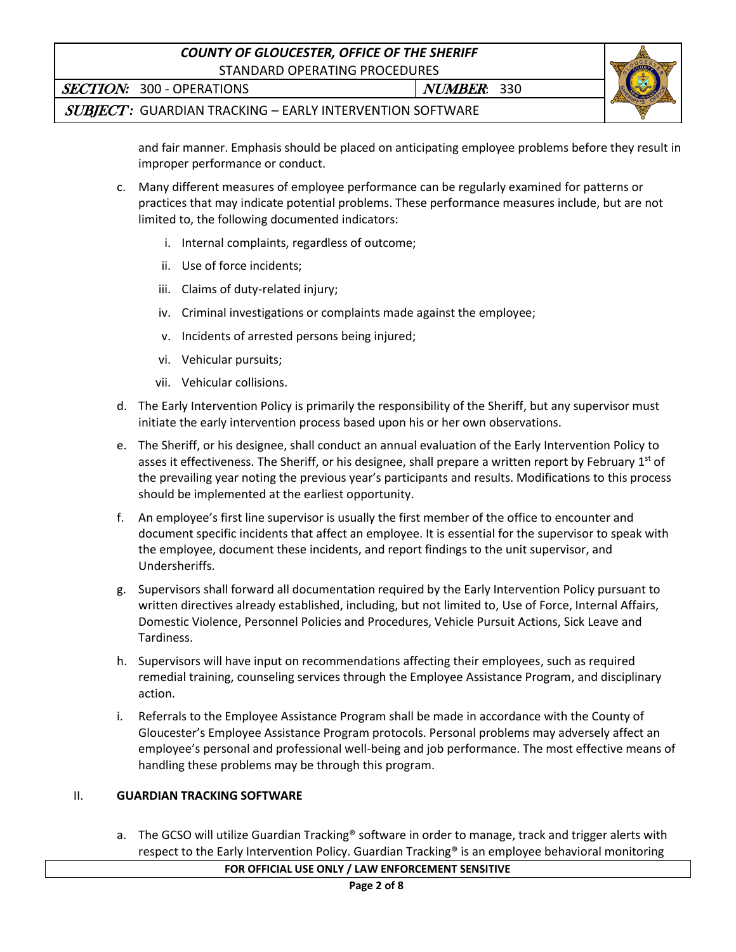# *COUNTY OF GLOUCESTER, OFFICE OF THE SHERIFF* STANDARD OPERATING PROCEDURES

SECTION: 300 - OPERATIONS NUMBER: 330



SUBJECT *:*GUARDIAN TRACKING – EARLY INTERVENTION SOFTWARE

and fair manner. Emphasis should be placed on anticipating employee problems before they result in improper performance or conduct.

- c. Many different measures of employee performance can be regularly examined for patterns or practices that may indicate potential problems. These performance measures include, but are not limited to, the following documented indicators:
	- i. Internal complaints, regardless of outcome;
	- ii. Use of force incidents;
	- iii. Claims of duty-related injury;
	- iv. Criminal investigations or complaints made against the employee;
	- v. Incidents of arrested persons being injured;
	- vi. Vehicular pursuits;
	- vii. Vehicular collisions.
- d. The Early Intervention Policy is primarily the responsibility of the Sheriff, but any supervisor must initiate the early intervention process based upon his or her own observations.
- e. The Sheriff, or his designee, shall conduct an annual evaluation of the Early Intervention Policy to asses it effectiveness. The Sheriff, or his designee, shall prepare a written report by February 1<sup>st</sup> of the prevailing year noting the previous year's participants and results. Modifications to this process should be implemented at the earliest opportunity.
- f. An employee's first line supervisor is usually the first member of the office to encounter and document specific incidents that affect an employee. It is essential for the supervisor to speak with the employee, document these incidents, and report findings to the unit supervisor, and Undersheriffs.
- g. Supervisors shall forward all documentation required by the Early Intervention Policy pursuant to written directives already established, including, but not limited to, Use of Force, Internal Affairs, Domestic Violence, Personnel Policies and Procedures, Vehicle Pursuit Actions, Sick Leave and Tardiness.
- h. Supervisors will have input on recommendations affecting their employees, such as required remedial training, counseling services through the Employee Assistance Program, and disciplinary action.
- i. Referrals to the Employee Assistance Program shall be made in accordance with the County of Gloucester's Employee Assistance Program protocols. Personal problems may adversely affect an employee's personal and professional well-being and job performance. The most effective means of handling these problems may be through this program.

# II. **GUARDIAN TRACKING SOFTWARE**

a. The GCSO will utilize Guardian Tracking® software in order to manage, track and trigger alerts with respect to the Early Intervention Policy. Guardian Tracking® is an employee behavioral monitoring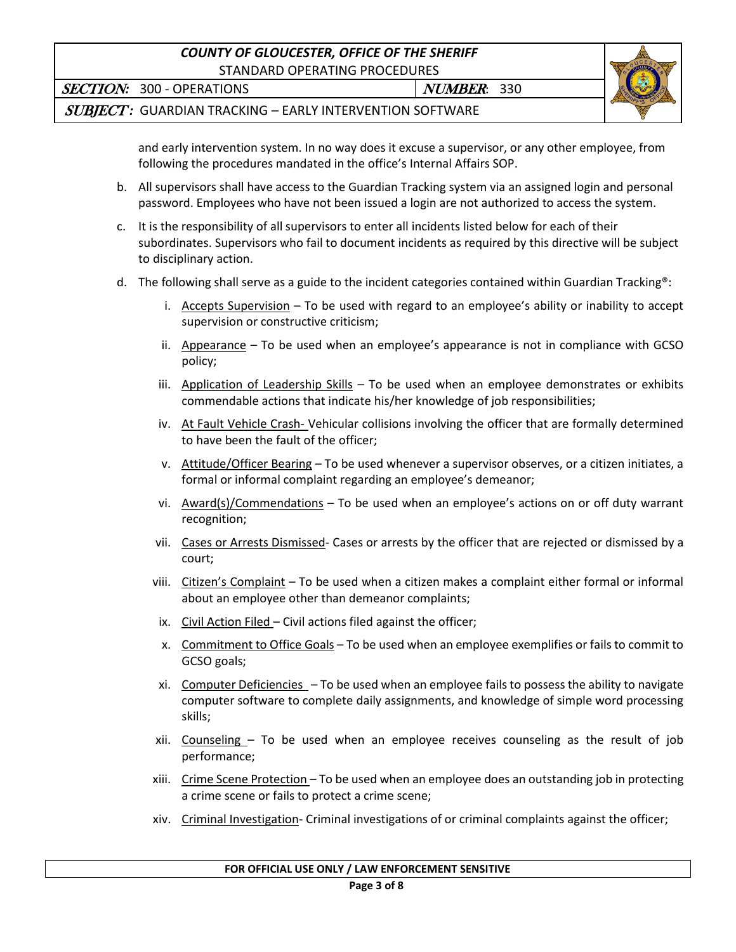# *COUNTY OF GLOUCESTER, OFFICE OF THE SHERIFF* STANDARD OPERATING PROCEDURES

SECTION: 300 - OPERATIONS NUMBER: 330



SUBJECT *:*GUARDIAN TRACKING – EARLY INTERVENTION SOFTWARE

and early intervention system. In no way does it excuse a supervisor, or any other employee, from following the procedures mandated in the office's Internal Affairs SOP.

- b. All supervisors shall have access to the Guardian Tracking system via an assigned login and personal password. Employees who have not been issued a login are not authorized to access the system.
- c. It is the responsibility of all supervisors to enter all incidents listed below for each of their subordinates. Supervisors who fail to document incidents as required by this directive will be subject to disciplinary action.
- d. The following shall serve as a guide to the incident categories contained within Guardian Tracking®:
	- i. Accepts Supervision To be used with regard to an employee's ability or inability to accept supervision or constructive criticism;
	- ii. Appearance To be used when an employee's appearance is not in compliance with GCSO policy;
	- iii. Application of Leadership Skills To be used when an employee demonstrates or exhibits commendable actions that indicate his/her knowledge of job responsibilities;
	- iv. At Fault Vehicle Crash- Vehicular collisions involving the officer that are formally determined to have been the fault of the officer;
	- v. Attitude/Officer Bearing To be used whenever a supervisor observes, or a citizen initiates, a formal or informal complaint regarding an employee's demeanor;
	- vi. Award(s)/Commendations To be used when an employee's actions on or off duty warrant recognition;
	- vii. Cases or Arrests Dismissed- Cases or arrests by the officer that are rejected or dismissed by a court;
	- viii. Citizen's Complaint To be used when a citizen makes a complaint either formal or informal about an employee other than demeanor complaints;
	- ix. Civil Action Filed Civil actions filed against the officer;
	- x. Commitment to Office Goals To be used when an employee exemplifies or fails to commit to GCSO goals;
	- xi. Computer Deficiencies To be used when an employee fails to possess the ability to navigate computer software to complete daily assignments, and knowledge of simple word processing skills;
	- xii. Counseling To be used when an employee receives counseling as the result of job performance;
	- xiii. Crime Scene Protection To be used when an employee does an outstanding job in protecting a crime scene or fails to protect a crime scene;
	- xiv. Criminal Investigation- Criminal investigations of or criminal complaints against the officer;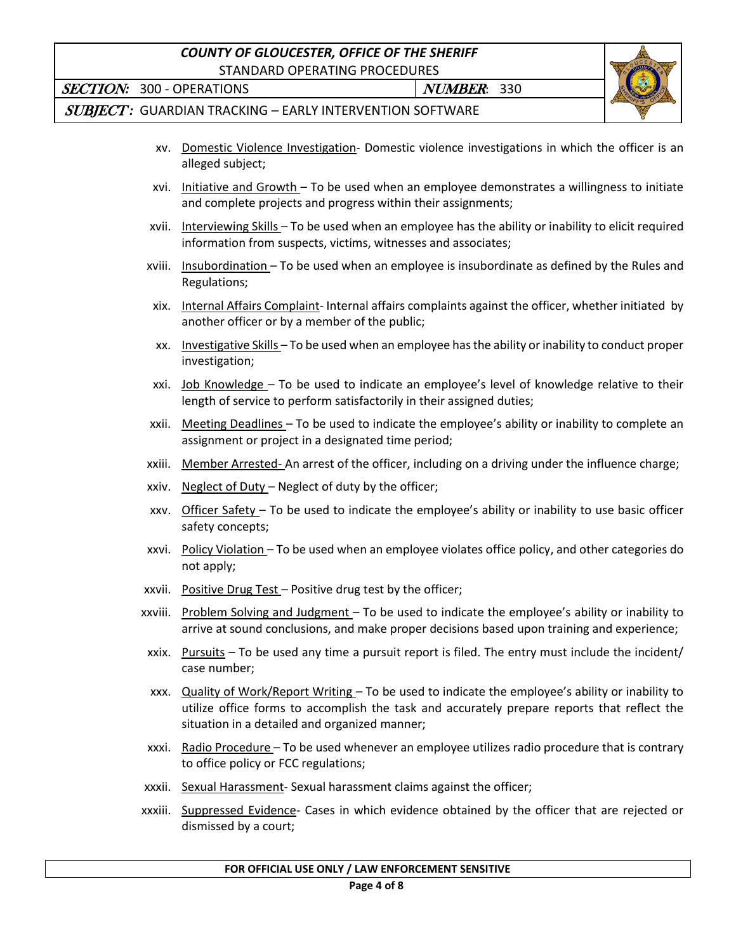# *COUNTY OF GLOUCESTER, OFFICE OF THE SHERIFF*

STANDARD OPERATING PROCEDURES



SECTION: 300 - OPERATIONS NUMBER: 330

SUBJECT *:*GUARDIAN TRACKING – EARLY INTERVENTION SOFTWARE

- xv. Domestic Violence Investigation- Domestic violence investigations in which the officer is an alleged subject;
- xvi. Initiative and Growth To be used when an employee demonstrates a willingness to initiate and complete projects and progress within their assignments;
- xvii. Interviewing Skills To be used when an employee has the ability or inability to elicit required information from suspects, victims, witnesses and associates;
- xviii. Insubordination To be used when an employee is insubordinate as defined by the Rules and Regulations;
- xix. Internal Affairs Complaint- Internal affairs complaints against the officer, whether initiated by another officer or by a member of the public;
- xx. Investigative Skills To be used when an employee has the ability or inability to conduct proper investigation;
- xxi. Job Knowledge To be used to indicate an employee's level of knowledge relative to their length of service to perform satisfactorily in their assigned duties;
- xxii. Meeting Deadlines To be used to indicate the employee's ability or inability to complete an assignment or project in a designated time period;
- xxiii. Member Arrested- An arrest of the officer, including on a driving under the influence charge;
- xxiv. Neglect of Duty Neglect of duty by the officer;
- xxv. Officer Safety To be used to indicate the employee's ability or inability to use basic officer safety concepts;
- xxvi. Policy Violation To be used when an employee violates office policy, and other categories do not apply;
- xxvii. Positive Drug Test Positive drug test by the officer;
- xxviii. Problem Solving and Judgment To be used to indicate the employee's ability or inability to arrive at sound conclusions, and make proper decisions based upon training and experience;
- xxix. Pursuits To be used any time a pursuit report is filed. The entry must include the incident/ case number;
- xxx. Quality of Work/Report Writing To be used to indicate the employee's ability or inability to utilize office forms to accomplish the task and accurately prepare reports that reflect the situation in a detailed and organized manner;
- xxxi. Radio Procedure To be used whenever an employee utilizes radio procedure that is contrary to office policy or FCC regulations;
- xxxii. Sexual Harassment- Sexual harassment claims against the officer;
- xxxiii. Suppressed Evidence- Cases in which evidence obtained by the officer that are rejected or dismissed by a court;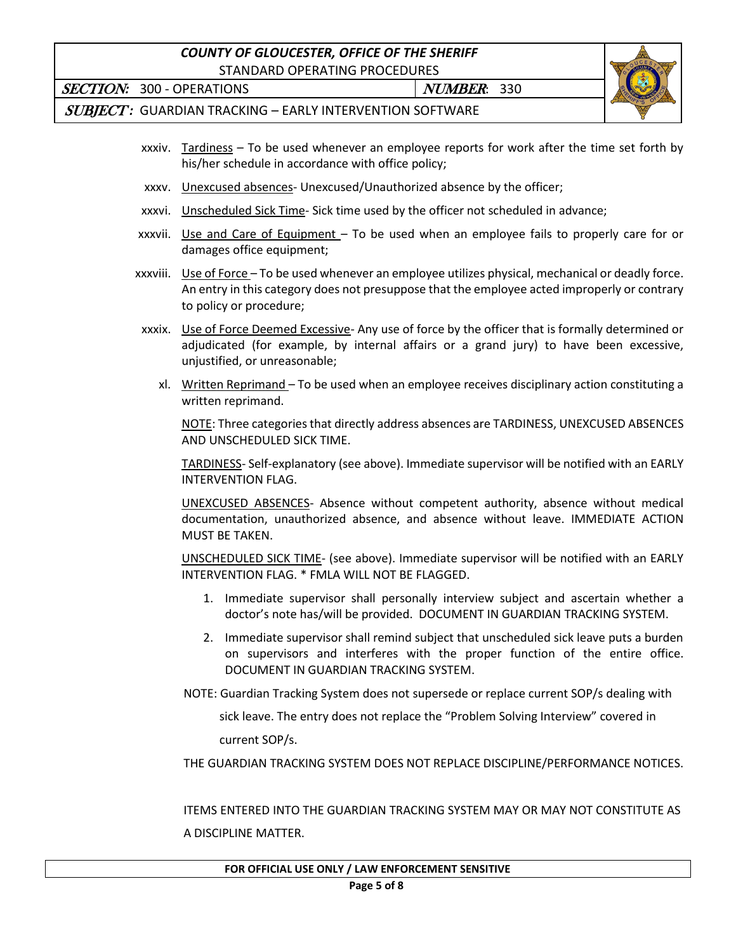# *COUNTY OF GLOUCESTER, OFFICE OF THE SHERIFF*

STANDARD OPERATING PROCEDURES

SECTION: 300 - OPERATIONS NUMBER: 330



SUBJECT *:*GUARDIAN TRACKING – EARLY INTERVENTION SOFTWARE

- xxxiv. Tardiness To be used whenever an employee reports for work after the time set forth by his/her schedule in accordance with office policy;
- xxxv. Unexcused absences- Unexcused/Unauthorized absence by the officer;
- xxxvi. Unscheduled Sick Time- Sick time used by the officer not scheduled in advance;
- xxxvii. Use and Care of Equipment To be used when an employee fails to properly care for or damages office equipment;
- xxxviii. Use of Force To be used whenever an employee utilizes physical, mechanical or deadly force. An entry in this category does not presuppose that the employee acted improperly or contrary to policy or procedure;
- xxxix. Use of Force Deemed Excessive- Any use of force by the officer that is formally determined or adjudicated (for example, by internal affairs or a grand jury) to have been excessive, unjustified, or unreasonable;
	- xl. Written Reprimand To be used when an employee receives disciplinary action constituting a written reprimand.

NOTE: Three categories that directly address absences are TARDINESS, UNEXCUSED ABSENCES AND UNSCHEDULED SICK TIME.

TARDINESS- Self-explanatory (see above). Immediate supervisor will be notified with an EARLY INTERVENTION FLAG.

UNEXCUSED ABSENCES- Absence without competent authority, absence without medical documentation, unauthorized absence, and absence without leave. IMMEDIATE ACTION MUST BE TAKEN.

UNSCHEDULED SICK TIME- (see above). Immediate supervisor will be notified with an EARLY INTERVENTION FLAG. \* FMLA WILL NOT BE FLAGGED.

- 1. Immediate supervisor shall personally interview subject and ascertain whether a doctor's note has/will be provided. DOCUMENT IN GUARDIAN TRACKING SYSTEM.
- 2. Immediate supervisor shall remind subject that unscheduled sick leave puts a burden on supervisors and interferes with the proper function of the entire office. DOCUMENT IN GUARDIAN TRACKING SYSTEM.

NOTE: Guardian Tracking System does not supersede or replace current SOP/s dealing with

sick leave. The entry does not replace the "Problem Solving Interview" covered in

current SOP/s.

THE GUARDIAN TRACKING SYSTEM DOES NOT REPLACE DISCIPLINE/PERFORMANCE NOTICES.

 ITEMS ENTERED INTO THE GUARDIAN TRACKING SYSTEM MAY OR MAY NOT CONSTITUTE AS A DISCIPLINE MATTER.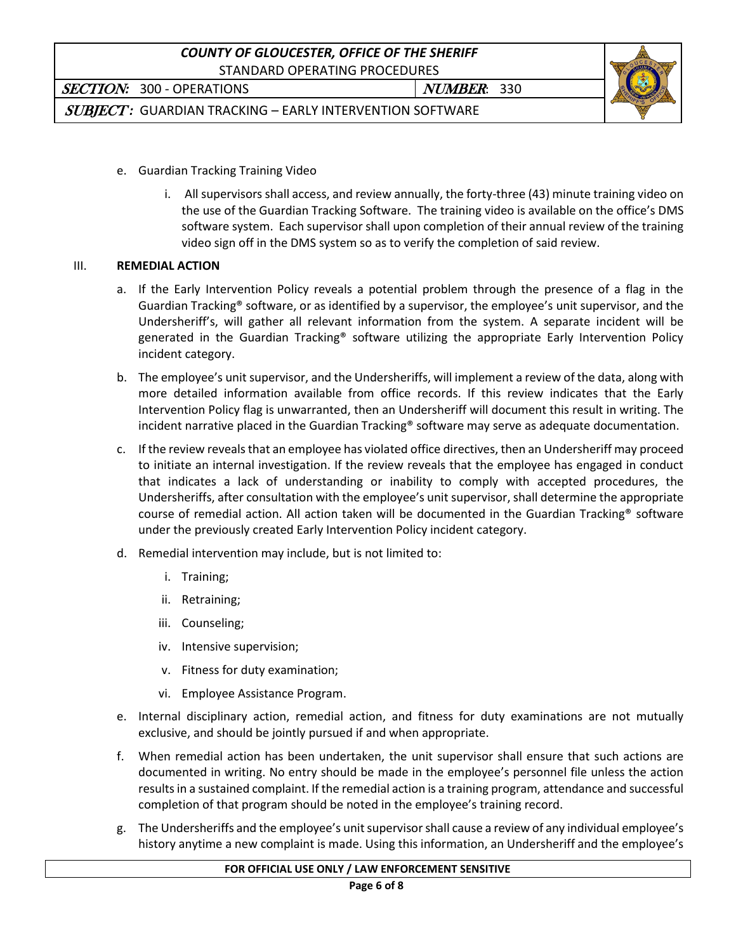

SECTION: 300 - OPERATIONS NUMBER: 330

SUBJECT *:*GUARDIAN TRACKING – EARLY INTERVENTION SOFTWARE

- e. Guardian Tracking Training Video
	- i. All supervisors shall access, and review annually, the forty-three (43) minute training video on the use of the Guardian Tracking Software. The training video is available on the office's DMS software system. Each supervisor shall upon completion of their annual review of the training video sign off in the DMS system so as to verify the completion of said review.

## III. **REMEDIAL ACTION**

- a. If the Early Intervention Policy reveals a potential problem through the presence of a flag in the Guardian Tracking® software, or as identified by a supervisor, the employee's unit supervisor, and the Undersheriff's, will gather all relevant information from the system. A separate incident will be generated in the Guardian Tracking® software utilizing the appropriate Early Intervention Policy incident category.
- b. The employee's unit supervisor, and the Undersheriffs, will implement a review of the data, along with more detailed information available from office records. If this review indicates that the Early Intervention Policy flag is unwarranted, then an Undersheriff will document this result in writing. The incident narrative placed in the Guardian Tracking® software may serve as adequate documentation.
- c. If the review reveals that an employee has violated office directives, then an Undersheriff may proceed to initiate an internal investigation. If the review reveals that the employee has engaged in conduct that indicates a lack of understanding or inability to comply with accepted procedures, the Undersheriffs, after consultation with the employee's unit supervisor, shall determine the appropriate course of remedial action. All action taken will be documented in the Guardian Tracking® software under the previously created Early Intervention Policy incident category.
- d. Remedial intervention may include, but is not limited to:
	- i. Training;
	- ii. Retraining;
	- iii. Counseling;
	- iv. Intensive supervision;
	- v. Fitness for duty examination;
	- vi. Employee Assistance Program.
- e. Internal disciplinary action, remedial action, and fitness for duty examinations are not mutually exclusive, and should be jointly pursued if and when appropriate.
- f. When remedial action has been undertaken, the unit supervisor shall ensure that such actions are documented in writing. No entry should be made in the employee's personnel file unless the action results in a sustained complaint. If the remedial action is a training program, attendance and successful completion of that program should be noted in the employee's training record.
- g. The Undersheriffs and the employee's unit supervisorshall cause a review of any individual employee's history anytime a new complaint is made. Using this information, an Undersheriff and the employee's

#### **FOR OFFICIAL USE ONLY / LAW ENFORCEMENT SENSITIVE**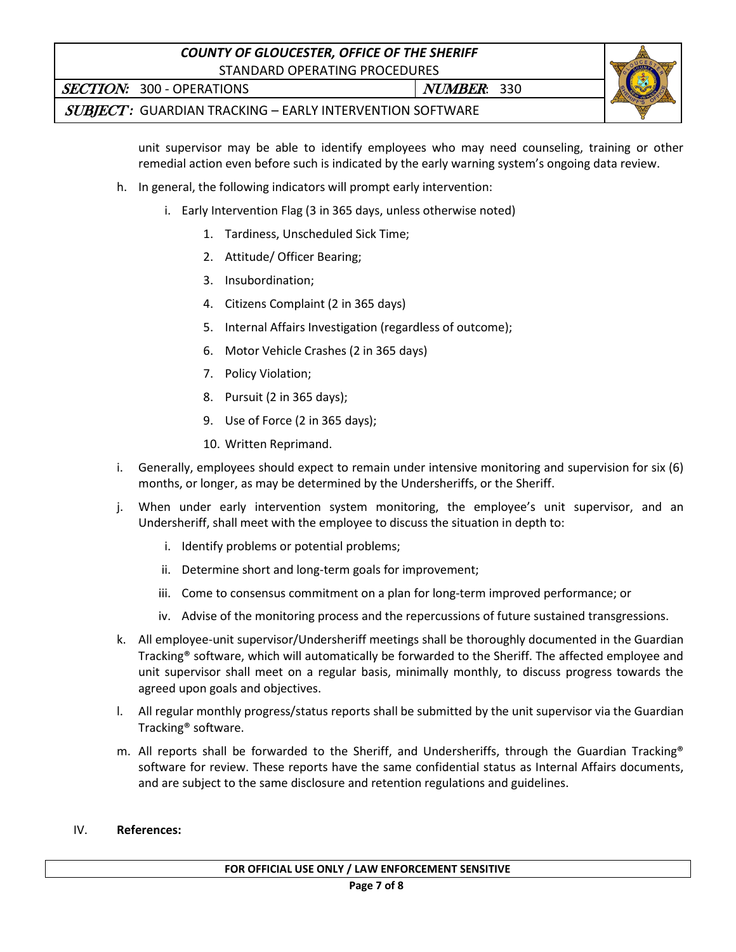# *COUNTY OF GLOUCESTER, OFFICE OF THE SHERIFF* STANDARD OPERATING PROCEDURES



SECTION: 300 - OPERATIONS NUMBER: 330

SUBJECT *:*GUARDIAN TRACKING – EARLY INTERVENTION SOFTWARE

unit supervisor may be able to identify employees who may need counseling, training or other remedial action even before such is indicated by the early warning system's ongoing data review.

- h. In general, the following indicators will prompt early intervention:
	- i. Early Intervention Flag (3 in 365 days, unless otherwise noted)
		- 1. Tardiness, Unscheduled Sick Time;
		- 2. Attitude/ Officer Bearing;
		- 3. Insubordination;
		- 4. Citizens Complaint (2 in 365 days)
		- 5. Internal Affairs Investigation (regardless of outcome);
		- 6. Motor Vehicle Crashes (2 in 365 days)
		- 7. Policy Violation;
		- 8. Pursuit (2 in 365 days);
		- 9. Use of Force (2 in 365 days);
		- 10. Written Reprimand.
- i. Generally, employees should expect to remain under intensive monitoring and supervision for six (6) months, or longer, as may be determined by the Undersheriffs, or the Sheriff.
- j. When under early intervention system monitoring, the employee's unit supervisor, and an Undersheriff, shall meet with the employee to discuss the situation in depth to:
	- i. Identify problems or potential problems;
	- ii. Determine short and long-term goals for improvement;
	- iii. Come to consensus commitment on a plan for long-term improved performance; or
	- iv. Advise of the monitoring process and the repercussions of future sustained transgressions.
- k. All employee-unit supervisor/Undersheriff meetings shall be thoroughly documented in the Guardian Tracking® software, which will automatically be forwarded to the Sheriff. The affected employee and unit supervisor shall meet on a regular basis, minimally monthly, to discuss progress towards the agreed upon goals and objectives.
- l. All regular monthly progress/status reports shall be submitted by the unit supervisor via the Guardian Tracking® software.
- m. All reports shall be forwarded to the Sheriff, and Undersheriffs, through the Guardian Tracking® software for review. These reports have the same confidential status as Internal Affairs documents, and are subject to the same disclosure and retention regulations and guidelines.

#### IV. **References:**